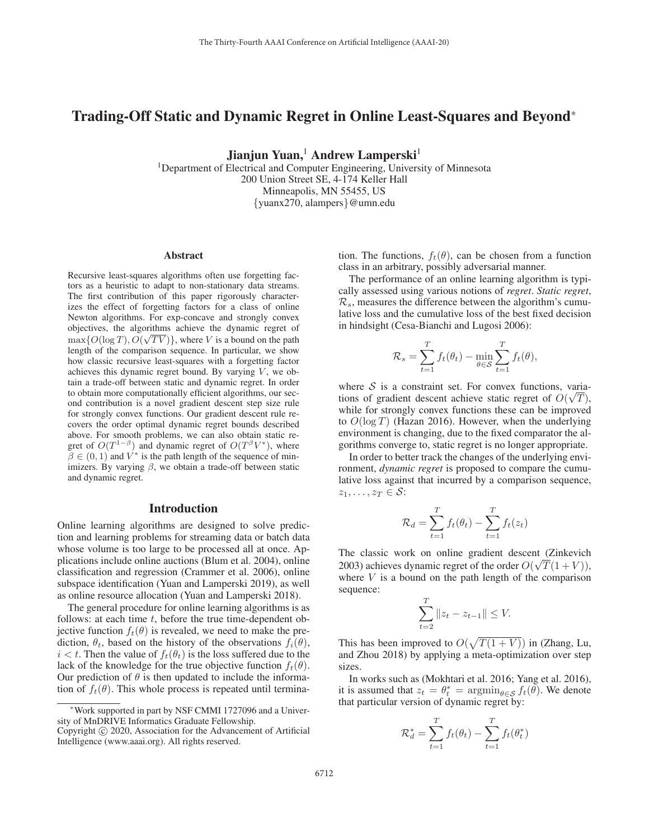# Trading-Off Static and Dynamic Regret in Online Least-Squares and Beyond<sup>∗</sup>

Jianjun Yuan,<sup>1</sup> Andrew Lamperski<sup>1</sup>

<sup>1</sup>Department of Electrical and Computer Engineering, University of Minnesota 200 Union Street SE, 4-174 Keller Hall Minneapolis, MN 55455, US {yuanx270, alampers}@umn.edu

#### Abstract

Recursive least-squares algorithms often use forgetting factors as a heuristic to adapt to non-stationary data streams. The first contribution of this paper rigorously characterizes the effect of forgetting factors for a class of online Newton algorithms. For exp-concave and strongly convex objectives, the algorithms achieve the dynamic regret of objectives, the algorithms achieve the dynamic regret of  $\max\{O(\log T), O(\sqrt{TV})\}\$ , where V is a bound on the path length of the comparison sequence. In particular, we show length of the comparison sequence. In particular, we show how classic recursive least-squares with a forgetting factor achieves this dynamic regret bound. By varying  $V$ , we obtain a trade-off between static and dynamic regret. In order to obtain more computationally efficient algorithms, our second contribution is a novel gradient descent step size rule for strongly convex functions. Our gradient descent rule recovers the order optimal dynamic regret bounds described above. For smooth problems, we can also obtain static regret of  $O(T^{1-\beta})$  and dynamic regret of  $O(T^{\beta}V^*)$ , where  $\beta \in (0, 1)$  and  $V^*$  is the path length of the sequence of minimizers. By varying  $\beta$ , we obtain a trade-off between static and dynamic regret.

#### Introduction

Online learning algorithms are designed to solve prediction and learning problems for streaming data or batch data whose volume is too large to be processed all at once. Applications include online auctions (Blum et al. 2004), online classification and regression (Crammer et al. 2006), online subspace identification (Yuan and Lamperski 2019), as well as online resource allocation (Yuan and Lamperski 2018).

The general procedure for online learning algorithms is as follows: at each time  $t$ , before the true time-dependent objective function  $f_t(\theta)$  is revealed, we need to make the prediction,  $\theta_t$ , based on the history of the observations  $f_i(\theta)$ ,  $i < t$ . Then the value of  $f_t(\theta_t)$  is the loss suffered due to the lack of the knowledge for the true objective function  $f_t(\theta)$ . Our prediction of  $\theta$  is then updated to include the information of  $f_t(\theta)$ . This whole process is repeated until termination. The functions,  $f_t(\theta)$ , can be chosen from a function class in an arbitrary, possibly adversarial manner.

The performance of an online learning algorithm is typically assessed using various notions of *regret*. *Static regret*,  $\mathcal{R}_s$ , measures the difference between the algorithm's cumulative loss and the cumulative loss of the best fixed decision in hindsight (Cesa-Bianchi and Lugosi 2006):

$$
\mathcal{R}_s = \sum_{t=1}^T f_t(\theta_t) - \min_{\theta \in \mathcal{S}} \sum_{t=1}^T f_t(\theta),
$$

where S is a constraint set. For convex functions, variations of gradient descent achieve static regret of  $O(\sqrt{T})$ ,<br>while for strongly convex functions these can be improved while for strongly convex functions these can be improved to  $O(\log T)$  (Hazan 2016). However, when the underlying environment is changing, due to the fixed comparator the algorithms converge to, static regret is no longer appropriate.

In order to better track the changes of the underlying environment, *dynamic regret* is proposed to compare the cumulative loss against that incurred by a comparison sequence,  $z_1,\ldots,z_T\in\mathcal{S}$ :

$$
\mathcal{R}_d = \sum_{t=1}^T f_t(\theta_t) - \sum_{t=1}^T f_t(z_t)
$$

The classic work on online gradient descent (Zinkevich 2003) achieves dynamic regret of the order  $O(\sqrt{T(1+V)})$ ,<br>where V is a bound on the path length of the comparison where  $V$  is a bound on the path length of the comparison sequence:

$$
\sum_{t=2}^{T} \|z_t - z_{t-1}\| \le V.
$$

This has been improved to  $O(\sqrt{T(1+V)})$  in (Zhang, Lu, and Zhou 2018) by applying a meta-optimization over step and Zhou 2018) by applying a meta-optimization over step sizes.

In works such as (Mokhtari et al. 2016; Yang et al. 2016), it is assumed that  $z_t = \theta_t^* = \operatorname{argmin}_{\theta \in \mathcal{S}} f_t(\theta)$ . We denote that particular version of dynamic regret by: that particular version of dynamic regret by:

$$
\mathcal{R}_d^* = \sum_{t=1}^T f_t(\theta_t) - \sum_{t=1}^T f_t(\theta_t^*)
$$

<sup>∗</sup>Work supported in part by NSF CMMI 1727096 and a University of MnDRIVE Informatics Graduate Fellowship.

Copyright  $\odot$  2020, Association for the Advancement of Artificial Intelligence (www.aaai.org). All rights reserved.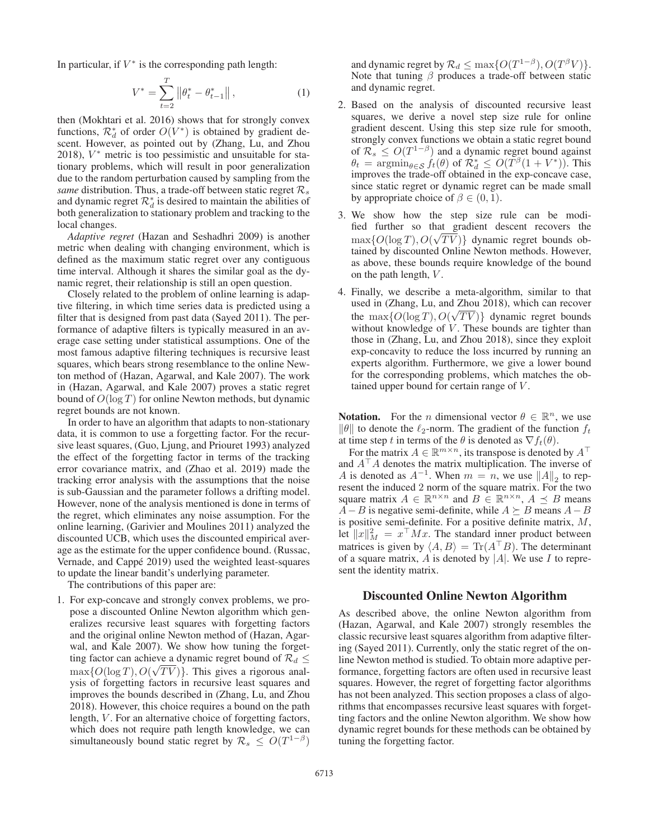In particular, if  $V^*$  is the corresponding path length:

$$
V^* = \sum_{t=2}^T \left\| \theta_t^* - \theta_{t-1}^* \right\|,
$$
 (1)

then (Mokhtari et al. 2016) shows that for strongly convex functions,  $\mathcal{R}_d^*$  of order  $O(V^*)$  is obtained by gradient descent. However, as pointed out by (Zhang Lu and Zhou scent. However, as pointed out by (Zhang, Lu, and Zhou 2018),  $V^*$  metric is too pessimistic and unsuitable for stationary problems, which will result in poor generalization due to the random perturbation caused by sampling from the *same* distribution. Thus, a trade-off between static regret  $\mathcal{R}_s$ and dynamic regret  $\mathcal{R}_d^*$  is desired to maintain the abilities of both generalization to stationary problem and tracking to the local changes.

*Adaptive regret* (Hazan and Seshadhri 2009) is another metric when dealing with changing environment, which is defined as the maximum static regret over any contiguous time interval. Although it shares the similar goal as the dynamic regret, their relationship is still an open question.

Closely related to the problem of online learning is adaptive filtering, in which time series data is predicted using a filter that is designed from past data (Sayed 2011). The performance of adaptive filters is typically measured in an average case setting under statistical assumptions. One of the most famous adaptive filtering techniques is recursive least squares, which bears strong resemblance to the online Newton method of (Hazan, Agarwal, and Kale 2007). The work in (Hazan, Agarwal, and Kale 2007) proves a static regret bound of  $O(\log T)$  for online Newton methods, but dynamic regret bounds are not known.

In order to have an algorithm that adapts to non-stationary data, it is common to use a forgetting factor. For the recursive least squares, (Guo, Ljung, and Priouret 1993) analyzed the effect of the forgetting factor in terms of the tracking error covariance matrix, and (Zhao et al. 2019) made the tracking error analysis with the assumptions that the noise is sub-Gaussian and the parameter follows a drifting model. However, none of the analysis mentioned is done in terms of the regret, which eliminates any noise assumption. For the online learning, (Garivier and Moulines 2011) analyzed the discounted UCB, which uses the discounted empirical average as the estimate for the upper confidence bound. (Russac, Vernade, and Cappé 2019) used the weighted least-squares to update the linear bandit's underlying parameter.

The contributions of this paper are:

1. For exp-concave and strongly convex problems, we propose a discounted Online Newton algorithm which generalizes recursive least squares with forgetting factors and the original online Newton method of (Hazan, Agarwal, and Kale 2007). We show how tuning the forgetting factor can achieve a dynamic regret bound of  $\mathcal{R}_d \leq$  $\max\{O(\log T), O(\sqrt{T}V)\}\.$  This gives a rigorous anal-<br>vsis of forgetting factors in recursive least squares and ysis of forgetting factors in recursive least squares and improves the bounds described in (Zhang, Lu, and Zhou 2018). However, this choice requires a bound on the path length, V. For an alternative choice of forgetting factors, which does not require path length knowledge, we can simultaneously bound static regret by  $\mathcal{R}_s \leq O(T^{1-\beta})$ 

and dynamic regret by  $\mathcal{R}_d \le \max\{O(T^{1-\beta}), O(T^{\beta}V)\}.$ Note that tuning  $\beta$  produces a trade-off between static and dynamic regret.

- 2. Based on the analysis of discounted recursive least squares, we derive a novel step size rule for online gradient descent. Using this step size rule for smooth, strongly convex functions we obtain a static regret bound of  $\mathcal{R}_s \leq O(T^{1-\beta})$  and a dynamic regret bound against  $\theta_t = \operatorname{argmin}_{\theta \in \mathcal{S}} f_t(\theta)$  of  $\mathcal{R}_d^* \leq O(T^{\beta}(1 + V^*))$ . This improves the trade-off obtained in the exp-concave case improves the trade-off obtained in the exp-concave case, since static regret or dynamic regret can be made small by appropriate choice of  $\beta \in (0, 1)$ .
- 3. We show how the step size rule can be modified further so that gradient descent recovers the  $\max\{O(\log T), O(\sqrt{T}V)\}\$  dynamic regret bounds obtained by discounted Online Newton methods. However tained by discounted Online Newton methods. However, as above, these bounds require knowledge of the bound on the path length, V .
- 4. Finally, we describe a meta-algorithm, similar to that used in (Zhang, Lu, and Zhou 2018), which can recover the max $\{O(\log T), O(\sqrt{T}V)\}\$  dynamic regret bounds without knowledge of V. These bounds are tighter than those in (Zhang, Lu, and Zhou 2018), since they exploit exp-concavity to reduce the loss incurred by running an experts algorithm. Furthermore, we give a lower bound for the corresponding problems, which matches the obtained upper bound for certain range of V .

**Notation.** For the *n* dimensional vector  $\theta \in \mathbb{R}^n$ , we use  $\|\theta\|$  to denote the  $\ell_2$ -norm. The gradient of the function  $f_t$ at time step t in terms of the  $\theta$  is denoted as  $\nabla f_t(\theta)$ .

For the matrix  $A \in \mathbb{R}^{m \times n}$ , its transpose is denoted by  $A^{\top}$ and  $A^T A$  denotes the matrix multiplication. The inverse of A is denoted as  $A^{-1}$ . When  $m = n$ , we use  $||A||_2$  to represent the induced 2 norm of the square matrix. For the two square matrix  $A \in \mathbb{R}^{n \times n}$  and  $B \in \mathbb{R}^{n \times n}$ ,  $A \preceq B$  means  $A-B$  is negative semi-definite, while  $A \succeq B$  means  $A-B$ is positive semi-definite. For a positive definite matrix, M, let  $||x||_M^2 = x^{\top} M x$ . The standard inner product between<br>matrices is given by  $\angle A \times B = \text{Tr}(A^{\top} B)$ . The determinant matrices is given by  $\langle A, B \rangle = \text{Tr}(A^{\top}B)$ . The determinant of a square matrix A is denoted by [A]. We use I to repreof a square matrix,  $A$  is denoted by  $|A|$ . We use  $I$  to represent the identity matrix.

## Discounted Online Newton Algorithm

As described above, the online Newton algorithm from (Hazan, Agarwal, and Kale 2007) strongly resembles the classic recursive least squares algorithm from adaptive filtering (Sayed 2011). Currently, only the static regret of the online Newton method is studied. To obtain more adaptive performance, forgetting factors are often used in recursive least squares. However, the regret of forgetting factor algorithms has not been analyzed. This section proposes a class of algorithms that encompasses recursive least squares with forgetting factors and the online Newton algorithm. We show how dynamic regret bounds for these methods can be obtained by tuning the forgetting factor.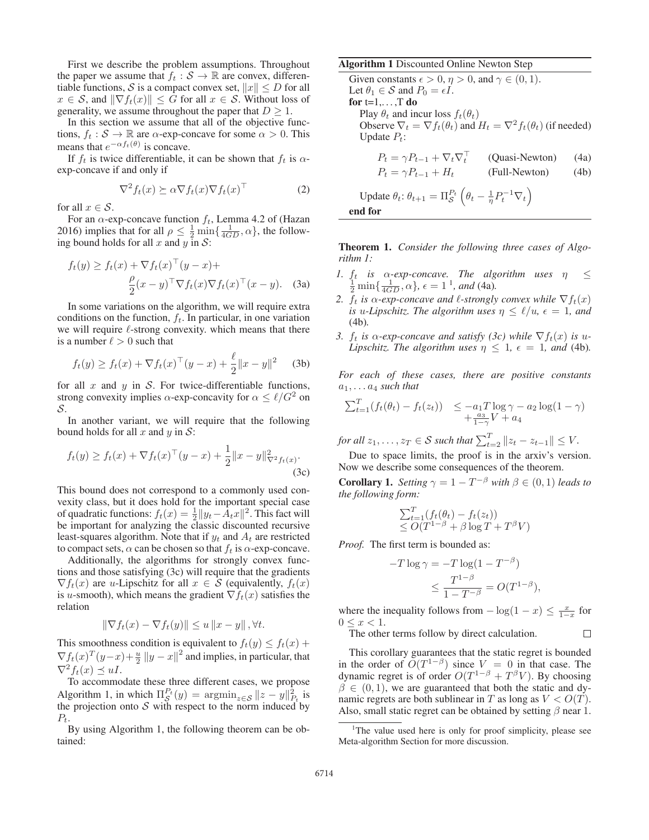First we describe the problem assumptions. Throughout the paper we assume that  $f_t : \mathcal{S} \to \mathbb{R}$  are convex, differentiable functions, S is a compact convex set,  $||x|| \le D$  for all  $x \in \mathcal{S}$ , and  $\|\nabla f_t(x)\| \leq \bar{G}$  for all  $x \in \mathcal{S}$ . Without loss of generality, we assume throughout the paper that  $D \geq 1$ .

In this section we assume that all of the objective functions,  $f_t : \mathcal{S} \to \mathbb{R}$  are  $\alpha$ -exp-concave for some  $\alpha > 0$ . This means that  $e^{-\alpha f_t(\theta)}$  is concave.

If  $f_t$  is twice differentiable, it can be shown that  $f_t$  is  $\alpha$ exp-concave if and only if

$$
\nabla^2 f_t(x) \succeq \alpha \nabla f_t(x) \nabla f_t(x)^\top
$$
 (2)

for all  $x \in \mathcal{S}$ .

For an  $\alpha$ -exp-concave function  $f_t$ , Lemma 4.2 of (Hazan 2016) implies that for all  $\rho \leq \frac{1}{2} \min\{\frac{1}{4GD}, \alpha\}$ , the follow-<br>ing bound holds for all x and y in S: ing bound holds for all x and y in  $S$ :

$$
f_t(y) \ge f_t(x) + \nabla f_t(x)^\top (y - x) +
$$

$$
\frac{\rho}{2} (x - y)^\top \nabla f_t(x) \nabla f_t(x)^\top (x - y). \quad (3a)
$$

2 In some variations on the algorithm, we will require extra conditions on the function,  $f_t$ . In particular, in one variation we will require  $\ell$ -strong convexity. which means that there is a number  $\ell > 0$  such that

$$
f_t(y) \ge f_t(x) + \nabla f_t(x)^\top (y - x) + \frac{\ell}{2} ||x - y||^2 \quad (3b)
$$

for all x and y in S. For twice-differentiable functions, strong convexity implies  $\alpha$ -exp-concavity for  $\alpha \le \ell/G^2$  on S.

In another variant, we will require that the following bound holds for all x and y in S:

$$
f_t(y) \ge f_t(x) + \nabla f_t(x)^\top (y - x) + \frac{1}{2} ||x - y||_{\nabla^2 f_t(x)}^2.
$$
\n(3c)

This bound does not correspond to a commonly used convexity class, but it does hold for the important special case of quadratic functions:  $f_t(x) = \frac{1}{2} ||y_t - A_t x||^2$ . This fact will be important for analyzing the classic discounted recursive least-squares algorithm. Note that if  $y_t$  and  $A_t$  are restricted to compact sets,  $\alpha$  can be chosen so that  $f_t$  is  $\alpha$ -exp-concave.

Additionally, the algorithms for strongly convex functions and those satisfying (3c) will require that the gradients  $\nabla f_t(x)$  are *u*-Lipschitz for all  $x \in S$  (equivalently,  $f_t(x)$ ) is u-smooth), which means the gradient  $\nabla f_t(x)$  satisfies the relation

$$
\|\nabla f_t(x) - \nabla f_t(y)\| \le u \|x - y\|, \forall t.
$$

This smoothness condition is equivalent to  $f_t(y) \leq f_t(x)$  +  $\nabla f_t(x)^T (y-x) + \frac{u}{2} ||y-x||^2$  and implies, in particular, that  $\nabla^2 f_t(x) \preceq uI$  $\nabla^2 f_t(x) \preceq uI.$ 

To accommodate these three different cases, we propose Algorithm 1, in which  $\Pi_S^{P_t}(y) = \operatorname{argmin}_{z \in S} \|z - y\|_{P_t}^2$  is the projection onto S with respect to the norm induced by the projection onto  $S$  with respect to the norm induced by  $P_t.$ 

By using Algorithm 1, the following theorem can be obtained:

### Algorithm 1 Discounted Online Newton Step

Given constants  $\epsilon > 0$ ,  $\eta > 0$ , and  $\gamma \in (0, 1)$ . Let  $\theta_1 \in \mathcal{S}$  and  $P_0 = \epsilon I$ . for  $t=1,\ldots,T$  do Play  $\theta_t$  and incur loss  $f_t(\theta_t)$ Observe  $\nabla_t = \nabla f_t(\theta_t)$  and  $H_t = \nabla^2 f_t(\theta_t)$  (if needed) Update  $P_t$ :  $P_t = \gamma P_{t-1} + \nabla_t \nabla_t^\top$ (Quasi-Newton) (4a)  $P_t = \gamma P_{t-1} + H_t$  (Full-Newton) (4b) Update  $\theta_t$ :  $\theta_{t+1} = \prod_{\mathcal{S}}^{P_t} \left( \theta_t - \frac{1}{\eta} P_t^{-1} \nabla_t \right)$ end for

Theorem 1. *Consider the following three cases of Algorithm 1:*

- *1.*  $f_t$  *is*  $\alpha$ -exp-concave. The algorithm uses  $\eta \leq$  $\frac{1}{2}$  min $\{\frac{1}{4GD}, \alpha\}$ ,  $\epsilon = 1^{\circ}$ , and (4a).
- *2.*  $f_t$  *is*  $\alpha$ -exp-concave and  $\ell$ -strongly convex while  $\nabla f_t(x)$ *is* u-Lipschitz. The algorithm uses  $\eta \leq \ell/u$ ,  $\epsilon = 1$ , and (4b)*.*
- *3.*  $f_t$  *is*  $\alpha$ -exp-concave and satisfy (3c) while  $\nabla f_t(x)$  *is* u-*Lipschitz. The algorithm uses*  $\eta \leq 1$ ,  $\epsilon = 1$ *, and* (4b)*.*

*For each of these cases, there are positive constants*  $a_1, \ldots a_4$  *such that* 

$$
\sum_{t=1}^{T} (f_t(\theta_t) - f_t(z_t)) \leq -a_1 T \log \gamma - a_2 \log(1 - \gamma) + \frac{a_3}{1 - \gamma} V + a_4
$$

*for all*  $z_1, \ldots, z_T \in S$  *such that*  $\sum_{t=2}^T ||z_t - z_{t-1}|| \leq V$ .

Due to space limits, the proof is in the arxiv's version. Now we describe some consequences of the theorem.

**Corollary 1.** *Setting*  $\gamma = 1 - T^{-\beta}$  *with*  $\beta \in (0, 1)$  *leads to the following form:*

$$
\sum_{t=1}^{T} (f_t(\theta_t) - f_t(z_t))
$$
  
\n
$$
\leq O(T^{1-\beta} + \beta \log T + T^{\beta} V)
$$

*Proof.* The first term is bounded as:

$$
-T \log \gamma = -T \log(1 - T^{-\beta})
$$
  

$$
\leq \frac{T^{1-\beta}}{1 - T^{-\beta}} = O(T^{1-\beta}),
$$

where the inequality follows from  $-\log(1-x) \le \frac{x}{1-x}$  for  $0 \le x < 1$ .  $0 \leq x < 1$ .

 $\Box$ 

The other terms follow by direct calculation.

This corollary guarantees that the static regret is bounded in the order of  $O(T^{1-\beta})$  since  $V = 0$  in that case. The dynamic regret is of order  $O(T^{1-\beta} + T^{\beta}V)$ . By choosing dynamic regret is of order  $O(T^{1-\beta} + T^{\beta}V)$ . By choosing  $\beta \in (0, 1)$  we are guaranteed that both the static and dy- $\beta \in (0, 1)$ , we are guaranteed that both the static and dynamic regrets are both sublinear in T as long as  $V < O(T)$ . Also, small static regret can be obtained by setting  $\beta$  near 1.

<sup>&</sup>lt;sup>1</sup>The value used here is only for proof simplicity, please see Meta-algorithm Section for more discussion.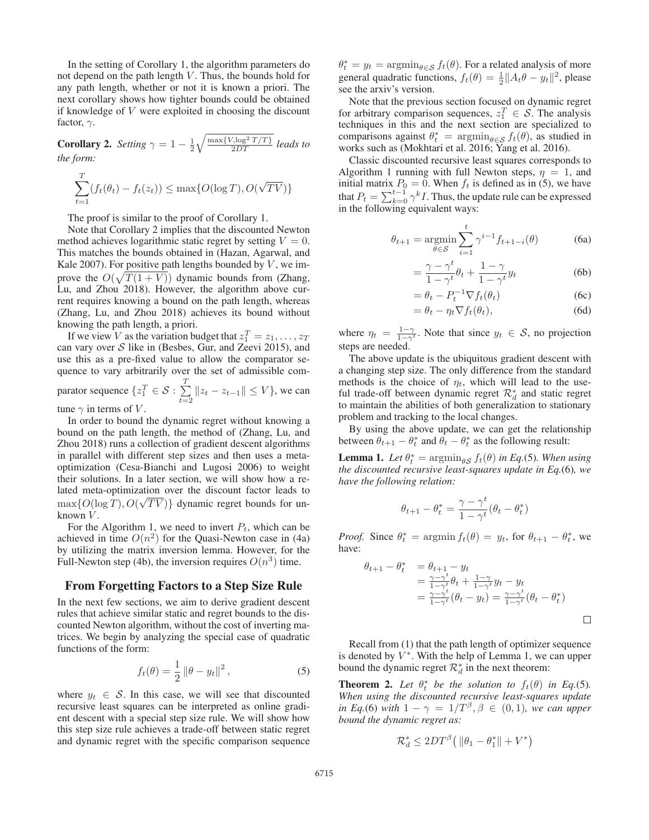In the setting of Corollary 1, the algorithm parameters do not depend on the path length  $V$ . Thus, the bounds hold for any path length, whether or not it is known a priori. The next corollary shows how tighter bounds could be obtained if knowledge of V were exploited in choosing the discount factor,  $\gamma$ .

**Corollary 2.** *Setting*  $\gamma = 1 - \frac{1}{2}$ <br>*the form:*  $\sqrt{\frac{\max\{V,\log^2 T/T\}}{2DT}}$  *leads to the form:*

$$
\sum_{t=1}^{T} (f_t(\theta_t) - f_t(z_t)) \le \max\{O(\log T), O(\sqrt{TV})\}
$$

The proof is similar to the proof of Corollary 1.

Note that Corollary 2 implies that the discounted Newton method achieves logarithmic static regret by setting  $V = 0$ . This matches the bounds obtained in (Hazan, Agarwal, and Kale 2007). For positive path lengths bounded by  $V$ , we improve the  $O(\sqrt{T(1+V)})$  dynamic bounds from (Zhang,  $I_{\text{JJ}}$  and Zhou 2018). However, the algorithm above cur-Lu, and Zhou 2018). However, the algorithm above current requires knowing a bound on the path length, whereas (Zhang, Lu, and Zhou 2018) achieves its bound without knowing the path length, a priori.

If we view V as the variation budget that  $z_1^T = z_1, \ldots, z_T$ <br>n vary over S like in (Beshes, Gur, and Zeevi 2015), and can vary over  $S$  like in (Besbes, Gur, and Zeevi 2015), and use this as a pre-fixed value to allow the comparator sequence to vary arbitrarily over the set of admissible comparator sequence  $\{z_1^T \in \mathcal{S} : \sum_{t=2}^T \mathcal{S} \}$ T  $\sum_{t=2}$   $||z_t - z_{t-1}|| \le V$ , we can

tune  $\gamma$  in terms of V.

In order to bound the dynamic regret without knowing a bound on the path length, the method of (Zhang, Lu, and Zhou 2018) runs a collection of gradient descent algorithms in parallel with different step sizes and then uses a metaoptimization (Cesa-Bianchi and Lugosi 2006) to weight their solutions. In a later section, we will show how a related meta-optimization over the discount factor leads to  $\max\{O(\log T), O(\sqrt{T}V)\}\$  dynamic regret bounds for un-<br>known V known  $V$ .

For the Algorithm 1, we need to invert  $P_t$ , which can be achieved in time  $O(n^2)$  for the Quasi-Newton case in (4a) by utilizing the matrix inversion lemma. However, for the Full-Newton step (4b), the inversion requires  $O(n^3)$  time.

### From Forgetting Factors to a Step Size Rule

In the next few sections, we aim to derive gradient descent rules that achieve similar static and regret bounds to the discounted Newton algorithm, without the cost of inverting matrices. We begin by analyzing the special case of quadratic functions of the form:

$$
f_t(\theta) = \frac{1}{2} \left\| \theta - y_t \right\|^2, \tag{5}
$$

where  $y_t \in S$ . In this case, we will see that discounted recursive least squares can be interpreted as online gradient descent with a special step size rule. We will show how this step size rule achieves a trade-off between static regret and dynamic regret with the specific comparison sequence

 $\theta_t^* = y_t = \operatorname{argmin}_{\theta \in \mathcal{S}} f_t(\theta)$ . For a related analysis of more connected analysis of more general quadratic functions,  $f_t(\theta) = \frac{1}{2} ||A_t \theta - y_t||^2$ , please see the arxiv's version. see the arxiv's version.

Note that the previous section focused on dynamic regret for arbitrary comparison sequences,  $z_1^T \in S$ . The analysis techniques in this and the next section are specialized to techniques in this and the next section are specialized to comparisons against  $\theta_t^* = \operatorname{argmin}_{\theta \in \mathcal{S}} f_t(\theta)$ , as studied in works such as (Mokhtari et al. 2016) works such as (Mokhtari et al. 2016; Yang et al. 2016).

Classic discounted recursive least squares corresponds to Algorithm 1 running with full Newton steps,  $\eta = 1$ , and initial matrix  $P_0 = 0$ . When  $f_t$  is defined as in (5) we have initial matrix  $P_0 = 0$ . When  $f_t$  is defined as in (5), we have<br>that  $P_t = \sum_{k=1}^{t-1} c_k t$ . Thus, the undate rule can be expressed that  $P_t = \sum_{k=0}^{t-1} \gamma^k I$ . Thus, the update rule can be expressed<br>in the following equivalent ways: in the following equivalent ways:

$$
\theta_{t+1} = \underset{\theta \in \mathcal{S}}{\operatorname{argmin}} \sum_{i=1}^{t} \gamma^{i-1} f_{t+1-i}(\theta) \tag{6a}
$$

$$
= \frac{\gamma - \gamma^t}{1 - \gamma^t} \theta_t + \frac{1 - \gamma}{1 - \gamma^t} y_t
$$
(6b)

$$
= \theta_t - P_t^{-1} \nabla f_t(\theta_t)
$$
 (6c)

$$
= \theta_t - \eta_t \nabla f_t(\theta_t), \tag{6d}
$$

where  $\eta_t = \frac{1-\gamma}{1-\gamma^t}$ . Note that since  $y_t \in S$ , no projection steps are needed.

The above update is the ubiquitous gradient descent with a changing step size. The only difference from the standard methods is the choice of  $\eta_t$ , which will lead to the useful trade-off between dynamic regret  $\mathcal{R}^*_{d}$  and static regret to maintain the abilities of both generalization to stationary problem and tracking to the local changes.

By using the above update, we can get the relationship between  $\theta_{t+1} - \theta_t^*$  and  $\bar{\theta}_t - \theta_t^*$  as the following result:

**Lemma 1.** Let  $\theta_t^* = \operatorname{argmin}_{\theta S} f_t(\theta)$  in Eq.(5). When using the discounted recursive least-squares undate in Eq.(6) we *the discounted recursive least-squares update in Eq.*(6)*, we have the following relation:*

$$
\theta_{t+1} - \theta_t^* = \frac{\gamma - \gamma^t}{1 - \gamma^t} (\theta_t - \theta_t^*)
$$

*Proof.* Since  $\theta_t^* = \operatorname{argmin} f_t(\theta) = y_t$ , for  $\theta_{t+1} - \theta_t^*$ , we have: have:

$$
\theta_{t+1} - \theta_t^* = \theta_{t+1} - y_t
$$
  
= 
$$
\frac{\gamma - \gamma^t}{1 - \gamma^t} \theta_t + \frac{1 - \gamma}{1 - \gamma^t} y_t - y_t
$$
  
= 
$$
\frac{\gamma - \gamma^t}{1 - \gamma^t} (\theta_t - y_t) = \frac{\gamma - \gamma^t}{1 - \gamma^t} (\theta_t - \theta_t^*)
$$

Recall from (1) that the path length of optimizer sequence is denoted by  $V^*$ . With the help of Lemma 1, we can upper bound the dynamic regret  $\mathcal{R}_d^*$  in the next theorem:

**Theorem 2.** Let  $\theta_t^*$  be the solution to  $f_t(\theta)$  in Eq.(5).<br>When using the discounted recursive least-squares undate *When using the discounted recursive least-squares update in Eq.*(6) *with*  $1 - \gamma = 1/T^{\beta}, \beta \in (0, 1)$ *, we can upper bound the dynamic regret as:*

$$
\mathcal{R}_d^* \le 2DT^{\beta}(\|\theta_1 - \theta_1^*\| + V^*)
$$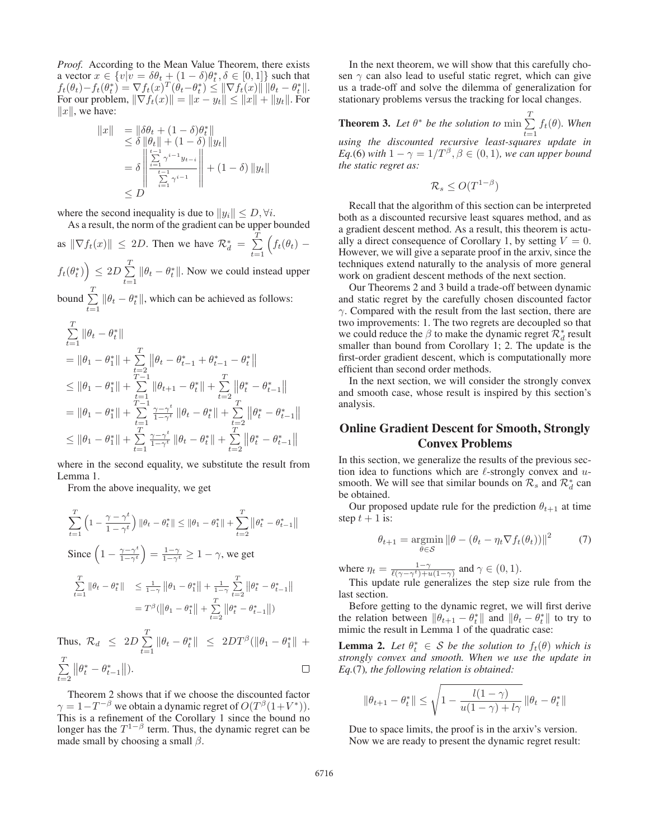*Proof.* According to the Mean Value Theorem, there exists a vector  $x \in \{v \mid v = \delta \theta_t + (1 - \delta) \theta_t^*, \delta \in [0, 1]\}$  such that  $f_t(\theta_t) - f_t(\theta_t^*) = \nabla f_t(\theta_t^*) \cdot \theta_t^* \cdot \theta_t^* \cdot \theta_t^*$  $f_t(\theta_t) - f_t(\theta_t^*) = \nabla f_t(x)^T (\dot{\theta}_t - \theta_t^*) \leq \|\nabla f_t(x)\| \|\theta_t - \theta_t^*\|.$ <br>For our problem  $\|\nabla f_t(x)\| = \|x - y_t\| \leq \|x\| + \|y_t\|$  For For our problem,  $\|\nabla f_t(x)\| = \|x - y_t\| \le \|x\| + \|y_t\|$ . For  $\|x\|$  we have:  $||x||$ , we have:

$$
||x|| = ||\delta \theta_t + (1 - \delta) \theta_t^*||
$$
  
\n
$$
\leq \delta ||\theta_t|| + (1 - \delta) ||y_t||
$$
  
\n
$$
= \delta \left\| \frac{\sum_{i=1}^{t-1} \gamma^{i-1} y_{t-i}}{\sum_{i=1}^{t-1} \gamma^{i-1}} \right\| + (1 - \delta) ||y_t||
$$
  
\n
$$
\leq D
$$

where the second inequality is due to  $||y_i|| \leq D$ ,  $\forall i$ .

As a result, the norm of the gradient can be upper bounded as  $\|\nabla f_t(x)\| \le 2D$ . Then we have  $\mathcal{R}_d^* = \sum_{t=1}^{\infty}$  $\overline{\tau}$  $\sum_{t=1}$  $\Big(f_t(\theta_t)$  –  $f_t(\theta_t^*)\Big) \leq 2D \sum_{t=1}^T$  $\tau$  $\sum_{t=1}$  $\|\theta_t - \theta_t^*\|$ . Now we could instead upper

bound  $\sum$  $\tau$  $\sum_{t=1}$  $\|\theta_t - \theta_t^*\|$ , which can be achieved as follows:

$$
\begin{aligned} &\sum_{t=1}^T\|\theta_t-\theta_t^*\|\\ &=\|\theta_1-\theta_1^*\|+\sum_{t=2}^T\left\|\theta_t-\theta_{t-1}^*+\theta_{t-1}^*-\theta_t^*\right\|\\ &\leq \|\theta_1-\theta_1^*\|+\sum_{t=1}^{T-1}\|\theta_{t+1}-\theta_t^*\|+\sum_{t=2}^T\left\|\theta_t^*-\theta_{t-1}^*\right\|\\ &=\|\theta_1-\theta_1^*\|+\sum_{t=1}^{T-1}\tfrac{\gamma-\gamma^t}{1-\gamma^t}\left\|\theta_t-\theta_t^*\right\|+\sum_{t=2}^T\left\|\theta_t^*-\theta_{t-1}^*\right\|\\ &\leq \|\theta_1-\theta_1^*\|+\sum_{t=1}^T\tfrac{\gamma-\gamma^t}{1-\gamma^t}\left\|\theta_t-\theta_t^*\right\|+\sum_{t=2}^T\left\|\theta_t^*-\theta_{t-1}^*\right\| \end{aligned}
$$

where in the second equality, we substitute the result from Lemma 1.

From the above inequality, we get

$$
\sum_{t=1}^{T} \left( 1 - \frac{\gamma - \gamma^{t}}{1 - \gamma^{t}} \right) ||\theta_{t} - \theta_{t}^{*}|| \le ||\theta_{1} - \theta_{1}^{*}|| + \sum_{t=2}^{T} ||\theta_{t}^{*} - \theta_{t-1}^{*}||
$$
\n
$$
\text{Since } \left( 1 - \frac{\gamma - \gamma^{t}}{1 - \gamma^{t}} \right) = \frac{1 - \gamma}{1 - \gamma^{t}} \ge 1 - \gamma, \text{ we get}
$$
\n
$$
\sum_{t=1}^{T} ||\theta_{t} - \theta_{t}^{*}|| \le \frac{1}{1 - \gamma} ||\theta_{1} - \theta_{1}^{*}|| + \frac{1}{1 - \gamma} \sum_{t=2}^{T} ||\theta_{t}^{*} - \theta_{t-1}^{*}||
$$
\n
$$
= T^{\beta} (||\theta_{1} - \theta_{1}^{*}|| + \sum_{t=2}^{T} ||\theta_{t}^{*} - \theta_{t-1}^{*}||)
$$
\n
$$
\text{Thus, } \mathcal{R}_{d} \le 2D \sum_{t=1}^{T} ||\theta_{t} - \theta_{t}^{*}|| \le 2DT^{\beta} (||\theta_{1} - \theta_{1}^{*}|| + \epsilon_{t-1}^{T} ||\theta_{1}^{*} - \theta_{1}^{*}|| + \epsilon_{t-1}^{T} ||\theta_{1}^{*} - \theta_{1}^{*}|| + \epsilon_{t-1}^{T} ||\theta_{1}^{*} - \theta_{1}^{*}|| + \epsilon_{t-1}^{T} ||\theta_{1}^{*} - \theta_{1}^{*}|| + \epsilon_{t-1}^{T} ||\theta_{1}^{*} - \theta_{1}^{*}|| + \epsilon_{t-1}^{T} ||\theta_{1}^{*} - \theta_{1}^{*}|| + \epsilon_{t-1}^{T} ||\theta_{1}^{*} - \theta_{1}^{*}|| + \epsilon_{t-1}^{T} ||\theta_{1}^{*} - \theta_{1}^{*}|| + \epsilon_{t-1}^{T} ||\theta_{1}^{*} - \theta_{1}^{*}|| + \epsilon_{t-1}^{T} ||\theta_{1}^{*} - \theta_{1}^{*}|| + \epsilon_{t-1}^{T} ||\theta_{1}^{*} - \theta_{1}^{*}|| + \epsilon_{t-1
$$

$$
\sum_{t=1}^{T} ||\theta_t^* - \theta_{t-1}^*||).
$$

Theorem 2 shows that if we choose the discounted factor  $\gamma = 1 - T^{-\beta}$  we obtain a dynamic regret of  $O(T^{\beta}(1+V^*)).$ This is a refinement of the Corollary 1 since the bound no longer has the  $T^{1-\beta}$  term. Thus, the dynamic regret can be made small by choosing a small  $\beta$ .

In the next theorem, we will show that this carefully chosen  $\gamma$  can also lead to useful static regret, which can give us a trade-off and solve the dilemma of generalization for stationary problems versus the tracking for local changes.

**Theorem 3.** Let  $\theta^*$  be the solution to  $\min_{t=1}^T$ t=1 *using the discounted recursive least-squares update in*  $f_t(\theta)$ *. When Eq.*(6) *with*  $1 - \gamma = 1/T^{\beta}, \beta \in (0, 1)$ *, we can upper bound the static regret as:*

$$
\mathcal{R}_s \leq O(T^{1-\beta})
$$

Recall that the algorithm of this section can be interpreted both as a discounted recursive least squares method, and as a gradient descent method. As a result, this theorem is actually a direct consequence of Corollary 1, by setting  $V = 0$ . However, we will give a separate proof in the arxiv, since the techniques extend naturally to the analysis of more general work on gradient descent methods of the next section.

Our Theorems 2 and 3 build a trade-off between dynamic and static regret by the carefully chosen discounted factor  $\gamma$ . Compared with the result from the last section, there are two improvements: 1. The two regrets are decoupled so that we could reduce the  $\beta$  to make the dynamic regret  $\mathcal{R}_d^*$  result smaller than bound from Corollary 1; 2. The update is the first-order gradient descent, which is computationally more efficient than second order methods.

In the next section, we will consider the strongly convex and smooth case, whose result is inspired by this section's analysis.

## Online Gradient Descent for Smooth, Strongly Convex Problems

In this section, we generalize the results of the previous section idea to functions which are  $\ell$ -strongly convex and  $u$ smooth. We will see that similar bounds on  $\mathcal{R}_s$  and  $\mathcal{R}_d^*$  can be obtained.

Our proposed update rule for the prediction  $\theta_{t+1}$  at time step  $t + 1$  is:

$$
\theta_{t+1} = \underset{\theta \in \mathcal{S}}{\operatorname{argmin}} \left\| \theta - (\theta_t - \eta_t \nabla f_t(\theta_t)) \right\|^2 \tag{7}
$$

where  $\eta_t = \frac{1-\gamma}{\ell(\gamma - \gamma^t) + u(1-\gamma)}$  and  $\gamma \in (0, 1)$ .<br>This undete rule generalizes the step site

This update rule generalizes the step size rule from the last section.

Before getting to the dynamic regret, we will first derive the relation between  $\|\theta_{t+1} - \theta_t^*\|$  and  $\|\theta_t - \theta_t^*\|$  to try to mimic the result in Lemma 1 of the quadratic case: mimic the result in Lemma 1 of the quadratic case:

**Lemma 2.** Let  $\theta_t^* \in S$  be the solution to  $f_t(\theta)$  which is strongly convex and smooth. When we use the undate in *strongly convex and smooth. When we use the update in Eq.*(7)*, the following relation is obtained:*

$$
\|\theta_{t+1} - \theta_t^*\| \le \sqrt{1 - \frac{l(1-\gamma)}{u(1-\gamma) + l\gamma}} \|\theta_t - \theta_t^*\|
$$

Due to space limits, the proof is in the arxiv's version. Now we are ready to present the dynamic regret result: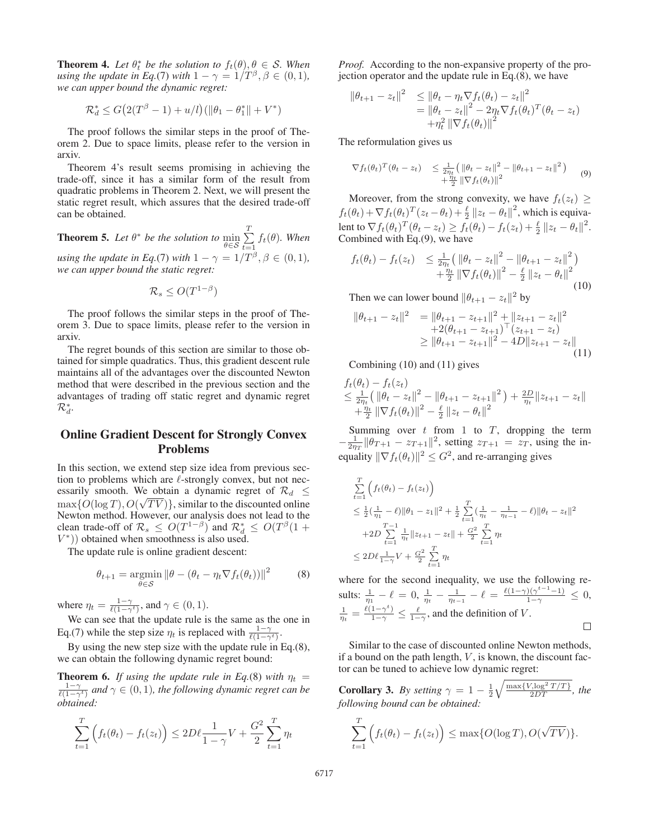**Theorem 4.** Let  $\theta_t^*$  be the solution to  $f_t(\theta), \theta \in S$ . When using the undate in Eq. (7) with  $1 - \gamma = 1/T^{\beta}$   $\beta \in (0, 1)$ *using the update in Eq.*(7) *with*  $1 - \gamma = 1/T^{\beta}, \beta \in (0, 1)$ *, we can upper bound the dynamic regret:*

$$
\mathcal{R}_d^* \le G(2(T^{\beta} - 1) + u/l)(\|\theta_1 - \theta_1^*\| + V^*)
$$

The proof follows the similar steps in the proof of Theorem 2. Due to space limits, please refer to the version in arxiv.

Theorem 4's result seems promising in achieving the trade-off, since it has a similar form of the result from quadratic problems in Theorem 2. Next, we will present the static regret result, which assures that the desired trade-off can be obtained.

**Theorem 5.** Let  $\theta^*$  be the solution to  $\min_{\theta \in \mathcal{S}} \sum_{t=1}$  $\tau$  $\sum_{t=1} f_t(\theta)$ *. When*<br> $\sum_{t=1}^{\infty} f_t(\theta)$  *s* = (0, 1) *using the update in Eq.*(7) *with*  $1 - \gamma = 1/T^{\beta}, \beta \in (0, 1)$ *, we can upper bound the static regret:*

$$
\mathcal{R}_s \leq O(T^{1-\beta})
$$

The proof follows the similar steps in the proof of Theorem 3. Due to space limits, please refer to the version in arxiv.

The regret bounds of this section are similar to those obtained for simple quadratics. Thus, this gradient descent rule maintains all of the advantages over the discounted Newton method that were described in the previous section and the advantages of trading off static regret and dynamic regret  $\mathcal{R}_d^*$ .

## Online Gradient Descent for Strongly Convex Problems

In this section, we extend step size idea from previous section to problems which are  $\ell$ -strongly convex, but not necessarily smooth. We obtain a dynamic regret of  $\mathcal{R}_d \leq$  $\max\{O(\log T), O(\sqrt{T}V)\}\$ , similar to the discounted online<br>Newton method However, our analysis does not lead to the Newton method. However, our analysis does not lead to the clean trade-off of  $\mathcal{R}_s \leq O(T^{1-\beta})$  and  $\mathcal{R}_d^* \leq O(T^{\beta}(1 + L^{*}))$  obtained when smoothness is also used  $V^*$ )) obtained when smoothness is also used.

The update rule is online gradient descent:

$$
\theta_{t+1} = \underset{\theta \in \mathcal{S}}{\operatorname{argmin}} \left\| \theta - (\theta_t - \eta_t \nabla f_t(\theta_t)) \right\|^2 \tag{8}
$$

where  $\eta_t = \frac{1-\gamma}{\ell(1-\gamma^t)}$ , and  $\gamma \in (0, 1)$ .<br>We can see that the undetermined

We can see that the update rule is the same as the one in Eq.(7) while the step size  $\eta_t$  is replaced with  $\frac{1-\gamma}{\ell(1-\gamma^t)}$ .

By using the new step size with the update rule in Eq.(8), we can obtain the following dynamic regret bound:

**Theorem 6.** *If using the update rule in Eq.*(8) *with*  $\eta_t = \frac{1-\gamma}{\ell(1-\gamma^t)}$  *and*  $\gamma \in (0,1)$ *, the following dynamic regret can be obtained:*

$$
\sum_{t=1}^{T} \left( f_t(\theta_t) - f_t(z_t) \right) \le 2D\ell \frac{1}{1 - \gamma} V + \frac{G^2}{2} \sum_{t=1}^{T} \eta_t
$$

*Proof.* According to the non-expansive property of the projection operator and the update rule in Eq.(8), we have

$$
\|\theta_{t+1} - z_t\|^2 \le \|\theta_t - \eta_t \nabla f_t(\theta_t) - z_t\|^2 \n= \|\theta_t - z_t\|^2 - 2\eta_t \nabla f_t(\theta_t)^T (\theta_t - z_t) \n+ \eta_t^2 \|\nabla f_t(\theta_t)\|^2
$$

The reformulation gives us

$$
\nabla f_t(\theta_t)^T (\theta_t - z_t) \leq \frac{1}{2\eta_t} \left( \|\theta_t - z_t\|^2 - \|\theta_{t+1} - z_t\|^2 \right) + \frac{\eta_t}{2} \|\nabla f_t(\theta_t)\|^2
$$
(9)

Moreover, from the strong convexity, we have  $f_t(z_t) \geq$  $f_t(\theta_t) + \nabla f_t(\theta_t)^T (z_t - \theta_t) + \frac{\ell}{2} ||z_t - \theta_t||^2$ , which is equiva-<br>long to  $\nabla f_t(\theta) \hat{T}(\theta - \alpha) \geq f_t(\theta) - f_t(\alpha) + \frac{\ell}{2} ||z_t - \theta||^2$ lent to  $\nabla f_t(\theta_t)^T (\theta_t - z_t) \geq \overline{f_t}(\theta_t) - f_t(z_t) + \frac{\ell}{2} ||z_t - \theta_t||^2$ .<br>Combined with Eq. (9), we have Combined with Eq.(9), we have

$$
f_t(\theta_t) - f_t(z_t) \leq \frac{1}{2\eta_t} \left( \left\| \theta_t - z_t \right\|^2 - \left\| \theta_{t+1} - z_t \right\|^2 \right) + \frac{\eta_t}{2} \left\| \nabla f_t(\theta_t) \right\|^2 - \frac{\ell}{2} \left\| z_t - \theta_t \right\|^2
$$
\n(10)

Then we can lower bound  $||\theta_{t+1} - z_t||^2$  by

$$
\|\theta_{t+1} - z_t\|^2 = \|\theta_{t+1} - z_{t+1}\|^2 + \|z_{t+1} - z_t\|^2 + 2(\theta_{t+1} - z_{t+1})^\top (z_{t+1} - z_t) \geq \|\theta_{t+1} - z_{t+1}\|^2 - 4D\|z_{t+1} - z_t\|
$$
\n(11)

Combining (10) and (11) gives

$$
f_t(\theta_t) - f_t(z_t)
$$
  
\n
$$
\leq \frac{1}{2\eta_t} (\|\theta_t - z_t\|^2 - \|\theta_{t+1} - z_{t+1}\|^2) + \frac{2D}{\eta_t} \|z_{t+1} - z_t\|
$$
  
\n
$$
+ \frac{\eta_t}{2} \|\nabla f_t(\theta_t)\|^2 - \frac{\ell}{2} \|z_t - \theta_t\|^2
$$

Summing over  $t$  from 1 to  $T$ , dropping the term  $-\frac{1}{2\eta_T} \|\theta_{T+1} - z_{T+1}\|^2$ , setting  $z_{T+1} = z_T$ , using the in-<br>constitutive  $\|\nabla f(\theta)\|^2 \leq C^2$  and the expression situation equality  $\|\nabla f_t(\theta_t)\|^2 \leq G^2$ , and re-arranging gives

$$
\sum_{t=1}^{T} \left( f_t(\theta_t) - f_t(z_t) \right)
$$
\n
$$
\leq \frac{1}{2} \left( \frac{1}{\eta_1} - \ell \right) ||\theta_1 - z_1||^2 + \frac{1}{2} \sum_{t=1}^{T} \left( \frac{1}{\eta_t} - \frac{1}{\eta_{t-1}} - \ell \right) ||\theta_t - z_t||^2
$$
\n
$$
+ 2D \sum_{t=1}^{T-1} \frac{1}{\eta_t} ||z_{t+1} - z_t|| + \frac{G^2}{2} \sum_{t=1}^{T} \eta_t
$$
\n
$$
\leq 2D\ell \frac{1}{1-\gamma} V + \frac{G^2}{2} \sum_{t=1}^{T} \eta_t
$$

where for the second inequality, we use the following results:  $\frac{1}{\eta_1} - \ell = 0$ ,  $\frac{1}{\eta_t} - \frac{1}{\eta_{t-1}} - \ell = \frac{\ell(1-\gamma)(\gamma^{t-1}-1)}{1-\gamma} \leq 0$ ,  $\frac{1}{\eta_t} = \frac{\ell(1-\gamma^t)}{1-\gamma} \le \frac{\ell}{1-\gamma}$ , and the definition of V.  $\Box$ 

Similar to the case of discounted online Newton methods, if a bound on the path length,  $V$ , is known, the discount factor can be tuned to achieve low dynamic regret:

**Corollary 3.** By setting  $\gamma = 1 - \frac{1}{2}$ <br>following bound can be obtained: **Corollary 3.** By setting  $\gamma = 1 - \frac{1}{2} \sqrt{\frac{\max\{V, \log^2 T / T\}}{2DT}}$ , the following bound can be obtained:

$$
\sum_{t=1}^{T} \left( f_t(\theta_t) - f_t(z_t) \right) \leq \max \{ O(\log T), O(\sqrt{TV}) \}.
$$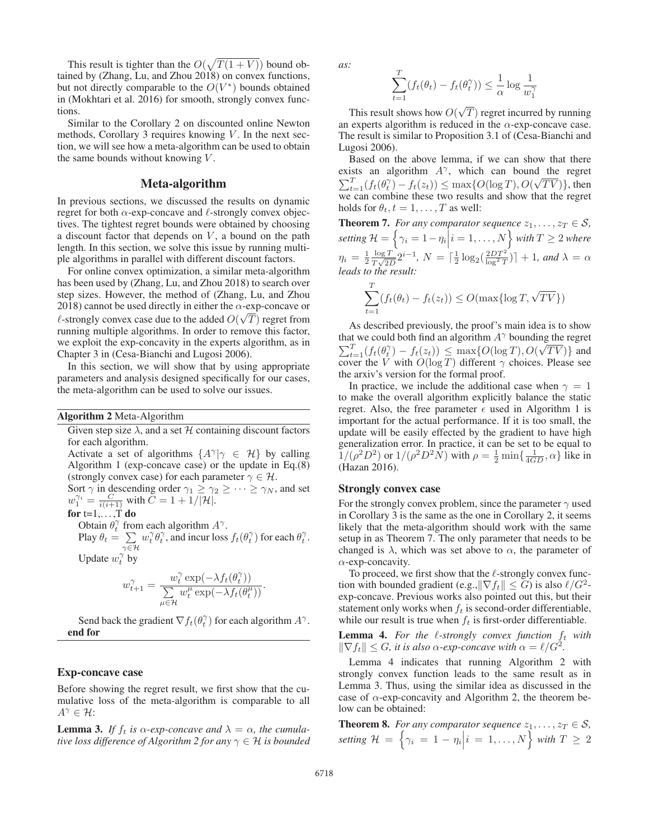This result is tighter than the  $O(\sqrt{T(1 + V)})$  bound ob-<br>ned by (Zhang Lu, and Zhou 2018) on convex functions tained by (Zhang, Lu, and Zhou 2018) on convex functions, but not directly comparable to the  $O(V^*)$  bounds obtained in (Mokhtari et al. 2016) for smooth, strongly convex functions.

Similar to the Corollary 2 on discounted online Newton methods, Corollary 3 requires knowing  $V$ . In the next section, we will see how a meta-algorithm can be used to obtain the same bounds without knowing  $V$ .

#### Meta-algorithm

In previous sections, we discussed the results on dynamic regret for both  $\alpha$ -exp-concave and  $\ell$ -strongly convex objectives. The tightest regret bounds were obtained by choosing a discount factor that depends on  $V$ , a bound on the path length. In this section, we solve this issue by running multiple algorithms in parallel with different discount factors.

For online convex optimization, a similar meta-algorithm has been used by (Zhang, Lu, and Zhou 2018) to search over step sizes. However, the method of (Zhang, Lu, and Zhou 2018) cannot be used directly in either the  $\alpha$ -exp-concave or  $\ell$ -strongly convex case due to the added  $O(\sqrt{T})$  regret from<br>running multiple algorithms. In order to remove this factor running multiple algorithms. In order to remove this factor, we exploit the exp-concavity in the experts algorithm, as in Chapter 3 in (Cesa-Bianchi and Lugosi 2006).

In this section, we will show that by using appropriate parameters and analysis designed specifically for our cases, the meta-algorithm can be used to solve our issues.

#### Algorithm 2 Meta-Algorithm

Given step size  $\lambda$ , and a set  $\mathcal H$  containing discount factors for each algorithm.

Activate a set of algorithms  $\{A^{\gamma}|\gamma \in \mathcal{H}\}\$  by calling Algorithm 1 (exp-concave case) or the update in Eq.(8) (strongly convex case) for each parameter  $\gamma \in \mathcal{H}$ . Sort  $\gamma$  in descending order  $\gamma_1 \ge \gamma_2 \ge \cdots \ge \gamma_N$ , and set  $w_1^{\gamma_i} = \frac{C}{i(i+1)}$  with  $C = 1 + 1/|\mathcal{H}|$ .

for 
$$
t=1,\ldots,T
$$
 do

Obtain  $\theta_t^{\gamma}$  from each algorithm  $A^{\gamma}$ .

Play  $\theta_t = \sum_{\gamma \in \mathcal{H}}$  $w_t^{\gamma} \theta_t^{\gamma}$ , and incur loss  $f_t(\theta_t^{\gamma})$  for each  $\theta_t^{\gamma}$ . Update  $w_t^{\gamma}$  by

$$
w_{t+1}^{\gamma} = \frac{w_t^{\gamma} \exp(-\lambda f_t(\theta_t^{\gamma}))}{\sum_{\mu \in \mathcal{H}} w_t^{\mu} \exp(-\lambda f_t(\theta_t^{\mu}))}.
$$

Send back the gradient  $\nabla f_t(\theta_t^{\gamma})$  for each algorithm  $A^{\gamma}$ . end for

#### Exp-concave case

Before showing the regret result, we first show that the cumulative loss of the meta-algorithm is comparable to all  $A^{\gamma} \in \mathcal{H}$ :

**Lemma 3.** *If*  $f_t$  *is*  $\alpha$ -*exp*-concave and  $\lambda = \alpha$ , the cumula*tive loss difference of Algorithm 2 for any*  $\gamma \in \mathcal{H}$  *is bounded*  *as:*

$$
\sum_{t=1}^{T} (f_t(\theta_t) - f_t(\theta_t^{\gamma})) \le \frac{1}{\alpha} \log \frac{1}{w_1^{\gamma}}
$$

This result shows how  $O(\frac{1}{2}$  experts algorithm is reduced  $T$ ) regret incurred by running<br>cd in the  $\alpha$ -exp-concave case an experts algorithm is reduced in the  $\alpha$ -exp-concave case. The result is similar to Proposition 3.1 of (Cesa-Bianchi and Lugosi 2006).

Based on the above lemma, if we can show that there exists an algorithm  $A^{\gamma}$ , which can bound the regret  $\sum_{t=1}^{T} (f_t(\theta_t^{\gamma}) - f_t(z_t)) \leq \max\{O(\log T), O(\log \log n)\}\$ <br>we can combine these two results and show t √  $TV$ }, then<br>it the regret we can combine these two results and show that the regret holds for  $\theta_t$ ,  $t = 1, \ldots, T$  as well:

**Theorem 7.** *For any comparator sequence*  $z_1, \ldots, z_T \in S$ , setting  $\mathcal{H} = \left\{ \gamma_i = 1 - \eta_i \Big| i = 1, \ldots, N \right\}$  with  $T \geq 2$  where  $\eta_i = \frac{1}{2} \frac{\log T}{T \sqrt{2D}} 2^{i-1}, N = \left[\frac{1}{2} \log_2(\frac{2DT^2}{\log^2 T})\right] + 1, \text{ and } \lambda = \alpha$ <br>leads to the result: *leads to the result:*

$$
\sum_{t=1}^{T} (f_t(\theta_t) - f_t(z_t)) \le O(\max{\log{T}, \sqrt{TV}})
$$

As described previously, the proof's main idea is to show that we could both find an algorithm  $A^{\gamma}$  bounding the regret  $\sum_{t=1}^{T} (f_t(\theta_t^{\gamma}) - f_t(z_t)) \leq \max\{O(\log T), O(\text{cover the } V \text{ with } O(\log T) \text{ different } \gamma \text{ choices})\}$ خٍµ<br>∕  $TV$ )} and<br>Please see cover the V with  $O(\log T)$  different  $\gamma$  choices. Please see<br>the arxiv's version for the formal proof the arxiv's version for the formal proof.

In practice, we include the additional case when  $\gamma = 1$ to make the overall algorithm explicitly balance the static regret. Also, the free parameter  $\epsilon$  used in Algorithm 1 is important for the actual performance. If it is too small, the update will be easily effected by the gradient to have high generalization error. In practice, it can be set to be equal to  $1/(\rho^2 D^2)$  or  $1/(\rho^2 D^2 N)$  with  $\rho = \frac{1}{2} \min\{\frac{1}{4GD}, \alpha\}$  like in (Hazan 2016). (Hazan 2016).

## Strongly convex case

For the strongly convex problem, since the parameter  $\gamma$  used in Corollary 3 is the same as the one in Corollary 2, it seems likely that the meta-algorithm should work with the same setup in as Theorem 7. The only parameter that needs to be changed is  $\lambda$ , which was set above to  $\alpha$ , the parameter of  $\alpha$ -exp-concavity.

To proceed, we first show that the  $\ell$ -strongly convex function with bounded gradient (e.g.,  $\|\nabla f_t\| \leq G$ ) is also  $\ell/G^2$ exp-concave. Previous works also pointed out this, but their statement only works when  $f_t$  is second-order differentiable, while our result is true when  $f_t$  is first-order differentiable.

**Lemma 4.** For the  $\ell$ -strongly convex function  $f_t$  with  $\|\nabla f_t\| \leq G$ , *it is also*  $\alpha$ -exp-concave with  $\alpha = \ell/G^2$ .

Lemma 4 indicates that running Algorithm 2 with strongly convex function leads to the same result as in Lemma 3. Thus, using the similar idea as discussed in the case of  $\alpha$ -exp-concavity and Algorithm 2, the theorem below can be obtained:

**Theorem 8.** *For any comparator sequence*  $z_1, \ldots, z_T \in S$ , setting  $\mathcal{H} = \left\{ \gamma_i = 1 - \eta_i \Big| i = 1, \ldots, N \right\}$  with  $T \geq 2$